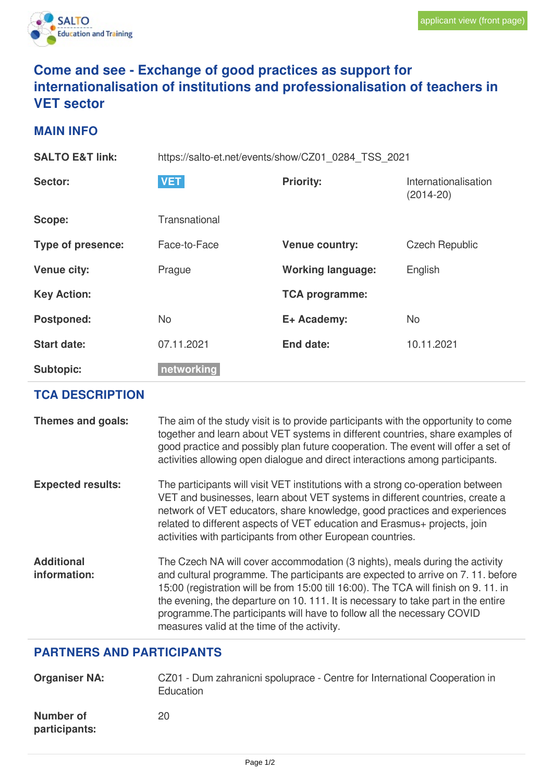

## **Come and see - Exchange of good practices as support for internationalisation of institutions and professionalisation of teachers in VET sector**

## **MAIN INFO**

| <b>SALTO E&amp;T link:</b> | https://salto-et.net/events/show/CZ01_0284_TSS_2021 |                          |                                     |
|----------------------------|-----------------------------------------------------|--------------------------|-------------------------------------|
| Sector:                    | <b>VET</b>                                          | <b>Priority:</b>         | Internationalisation<br>$(2014-20)$ |
| Scope:                     | Transnational                                       |                          |                                     |
| Type of presence:          | Face-to-Face                                        | <b>Venue country:</b>    | <b>Czech Republic</b>               |
| <b>Venue city:</b>         | Prague                                              | <b>Working language:</b> | English                             |
| <b>Key Action:</b>         |                                                     | <b>TCA programme:</b>    |                                     |
| <b>Postponed:</b>          | <b>No</b>                                           | E+ Academy:              | <b>No</b>                           |
| <b>Start date:</b>         | 07.11.2021                                          | End date:                | 10.11.2021                          |
| <b>Subtopic:</b>           | networking                                          |                          |                                     |

## **TCA DESCRIPTION**

| Themes and goals:                 | The aim of the study visit is to provide participants with the opportunity to come<br>together and learn about VET systems in different countries, share examples of<br>good practice and possibly plan future cooperation. The event will offer a set of<br>activities allowing open dialogue and direct interactions among participants.                                                                                                                           |
|-----------------------------------|----------------------------------------------------------------------------------------------------------------------------------------------------------------------------------------------------------------------------------------------------------------------------------------------------------------------------------------------------------------------------------------------------------------------------------------------------------------------|
| <b>Expected results:</b>          | The participants will visit VET institutions with a strong co-operation between<br>VET and businesses, learn about VET systems in different countries, create a<br>network of VET educators, share knowledge, good practices and experiences<br>related to different aspects of VET education and Erasmus+ projects, join<br>activities with participants from other European countries.                                                                             |
| <b>Additional</b><br>information: | The Czech NA will cover accommodation (3 nights), meals during the activity<br>and cultural programme. The participants are expected to arrive on 7.11. before<br>15:00 (registration will be from 15:00 till 16:00). The TCA will finish on 9.11. in<br>the evening, the departure on 10. 111. It is necessary to take part in the entire<br>programme. The participants will have to follow all the necessary COVID<br>measures valid at the time of the activity. |

## **PARTNERS AND PARTICIPANTS**

| <b>Organiser NA:</b>       | CZ01 - Dum zahranicni spoluprace - Centre for International Cooperation in<br>Education |
|----------------------------|-----------------------------------------------------------------------------------------|
| Number of<br>participants: | 20                                                                                      |